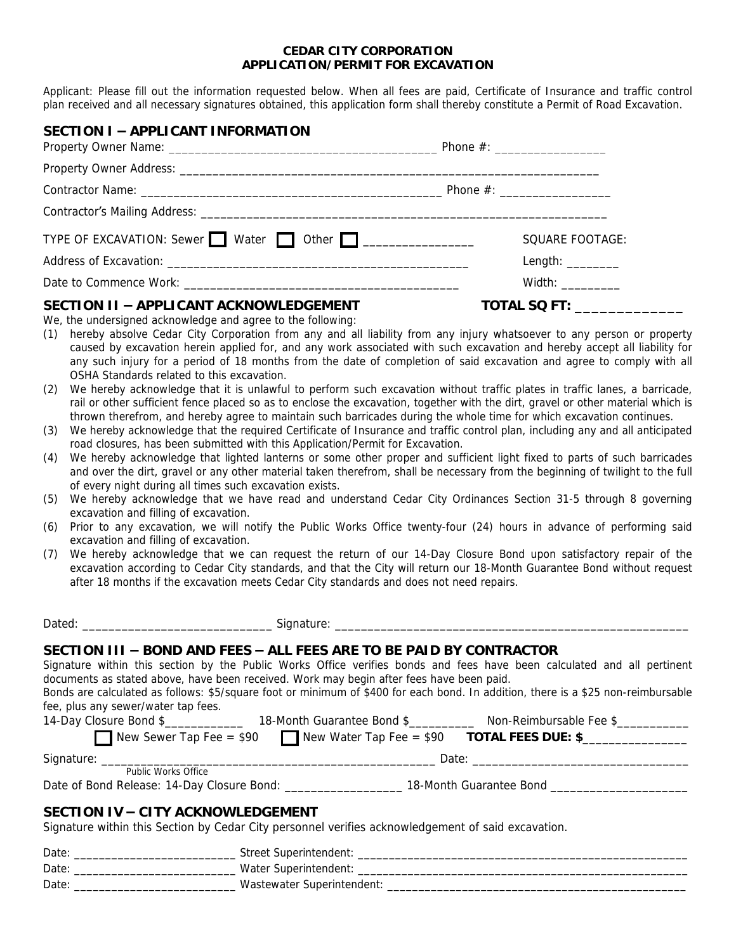#### **CEDAR CITY CORPORATION APPLICATION/PERMIT FOR EXCAVATION**

Applicant: Please fill out the information requested below. When all fees are paid, Certificate of Insurance and traffic control plan received and all necessary signatures obtained, this application form shall thereby constitute a *Permit of Road Excavation*.

| SECTION I - APPLICANT INFORMATION                                    |                          |
|----------------------------------------------------------------------|--------------------------|
|                                                                      |                          |
|                                                                      |                          |
|                                                                      |                          |
| TYPE OF EXCAVATION: Sewer Water $\Box$ Other $\Box$ ________________ | SQUARE FOOTAGE:          |
|                                                                      | Length: $\frac{1}{2}$    |
|                                                                      | Width: $\frac{1}{2}$     |
| SECTION II - APPLICANT ACKNOWLEDGEMENT                               | TOTAL SQ FT: ___________ |

We, the undersigned acknowledge and agree to the following:

- (1) hereby absolve Cedar City Corporation from any and all liability from any injury whatsoever to any person or property caused by excavation herein applied for, and any work associated with such excavation and hereby accept all liability for any such injury for a period of 18 months from the date of completion of said excavation and agree to comply with all OSHA Standards related to this excavation.
- (2) We hereby acknowledge that it is unlawful to perform such excavation without traffic plates in traffic lanes, a barricade, rail or other sufficient fence placed so as to enclose the excavation, together with the dirt, gravel or other material which is thrown therefrom, and hereby agree to maintain such barricades during the whole time for which excavation continues.
- (3) We hereby acknowledge that the required Certificate of Insurance and traffic control plan, including any and all anticipated road closures, has been submitted with this Application/Permit for Excavation.
- (4) We hereby acknowledge that lighted lanterns or some other proper and sufficient light fixed to parts of such barricades and over the dirt, gravel or any other material taken therefrom, shall be necessary from the beginning of twilight to the full of every night during all times such excavation exists.
- (5) We hereby acknowledge that we have read and understand Cedar City Ordinances Section 31-5 through 8 governing excavation and filling of excavation.
- (6) Prior to any excavation, we will notify the Public Works Office twenty-four (24) hours in advance of performing said excavation and filling of excavation.
- (7) We hereby acknowledge that we can request the return of our 14-Day Closure Bond upon satisfactory repair of the excavation according to Cedar City standards, and that the City will return our 18-Month Guarantee Bond without request after 18 months if the excavation meets Cedar City standards and does not need repairs.

Dated: \_\_\_\_\_\_\_\_\_\_\_\_\_\_\_\_\_\_\_\_\_\_\_\_\_\_\_\_\_ Signature: \_\_\_\_\_\_\_\_\_\_\_\_\_\_\_\_\_\_\_\_\_\_\_\_\_\_\_\_\_\_\_\_\_\_\_\_\_\_\_\_\_\_\_\_\_\_\_\_\_\_\_\_\_\_

# **SECTION III – BOND AND FEES –** *ALL FEES ARE TO BE PAID BY CONTRACTOR*

Signature within this section by the Public Works Office verifies bonds and fees have been calculated and all pertinent documents as stated above, have been received. Work may begin after fees have been paid.

Bonds are calculated as follows: \$5/square foot or minimum of \$400 for each bond. In addition, there is a \$25 non-reimbursable fee, plus any sewer/water tap fees.

| 14-Day Closure Bond \$                                            | 18-Month Guarantee Bond \$ | Non-Reimbursable Fee \$   |
|-------------------------------------------------------------------|----------------------------|---------------------------|
| New Sewer Tap Fee = $$90$ New Water Tap Fee = $$90$               |                            | <b>TOTAL FEES DUE: \$</b> |
| Signature:                                                        | Date:                      |                           |
| Public Works Office<br>Date of Bond Release: 14-Day Closure Bond: |                            | 18-Month Guarantee Bond   |

# **SECTION IV – CITY ACKNOWLEDGEMENT**

Signature within this Section by Cedar City personnel verifies acknowledgement of said excavation.

| Date | Street Superintendent:     |
|------|----------------------------|
| Date | Water Superintendent:      |
| Date | Wastewater Superintendent: |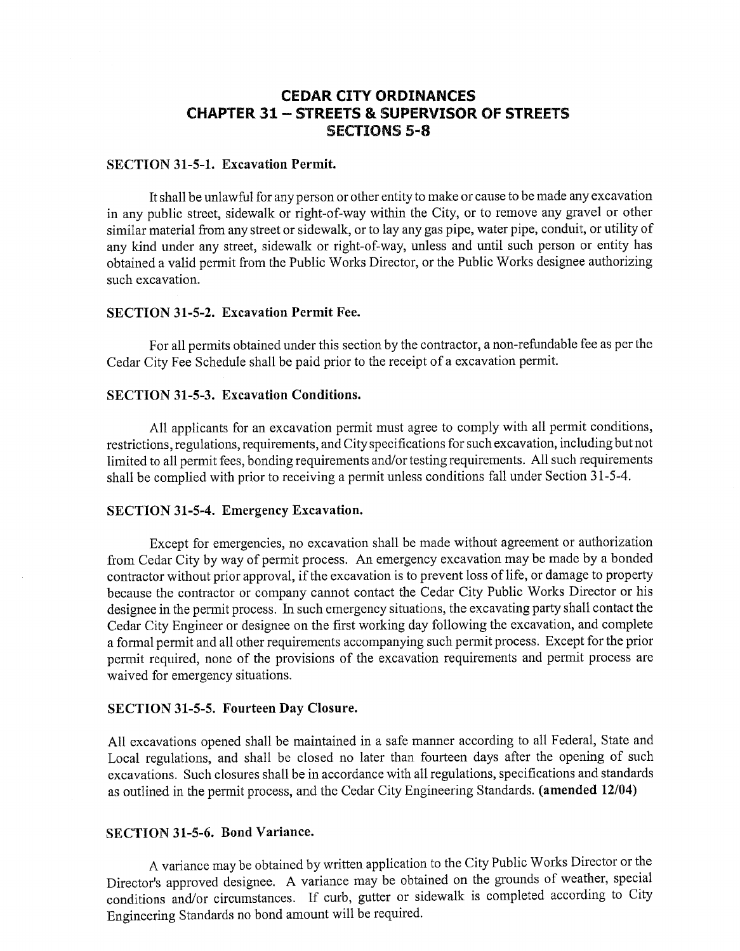# **CEDAR CITY ORDINANCES CHAPTER 31 - STREETS & SUPERVISOR OF STREETS SECTIONS 5-8**

#### **SECTION 31-5-1. Excavation Permit.**

It shall be unlawful for any person or other entity to make or cause to be made any excavation in any public street, sidewalk or right-of-way within the City, or to remove any gravel or other similar material from any street or sidewalk, or to lay any gas pipe, water pipe, conduit, or utility of any kind under any street, sidewalk or right-of-way, unless and until such person or entity has obtained a valid permit from the Public Works Director, or the Public Works designee authorizing such excavation.

#### **SECTION 31-5-2. Excavation Permit Fee.**

For all permits obtained under this section by the contractor, a non-refundable fee as per the Cedar City Fee Schedule shall be paid prior to the receipt of a excavation permit.

#### **SECTION 31-5-3. Excavation Conditions.**

All applicants for an excavation permit must agree to comply with all permit conditions, restrictions, regulations, requirements, and City specifications for such excavation, including but not limited to all permit fees, bonding requirements and/or testing requirements. All such requirements shall be complied with prior to receiving a permit unless conditions fall under Section 31-5-4.

## SECTION 31-5-4. Emergency Excavation.

Except for emergencies, no excavation shall be made without agreement or authorization from Cedar City by way of permit process. An emergency excavation may be made by a bonded contractor without prior approval, if the excavation is to prevent loss of life, or damage to property because the contractor or company cannot contact the Cedar City Public Works Director or his designee in the permit process. In such emergency situations, the excavating party shall contact the Cedar City Engineer or designee on the first working day following the excavation, and complete a formal permit and all other requirements accompanying such permit process. Except for the prior permit required, none of the provisions of the excavation requirements and permit process are waived for emergency situations.

#### SECTION 31-5-5. Fourteen Day Closure.

All excavations opened shall be maintained in a safe manner according to all Federal, State and Local regulations, and shall be closed no later than fourteen days after the opening of such excavations. Such closures shall be in accordance with all regulations, specifications and standards as outlined in the permit process, and the Cedar City Engineering Standards. (amended 12/04)

#### **SECTION 31-5-6. Bond Variance.**

A variance may be obtained by written application to the City Public Works Director or the Director's approved designee. A variance may be obtained on the grounds of weather, special conditions and/or circumstances. If curb, gutter or sidewalk is completed according to City Engineering Standards no bond amount will be required.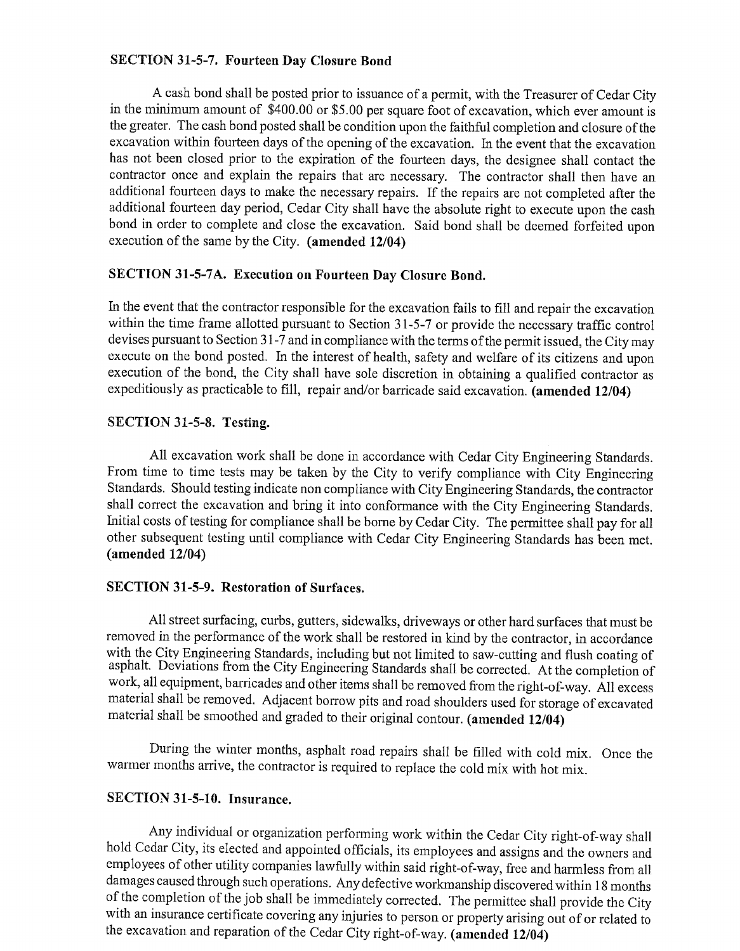### SECTION 31-5-7. Fourteen Day Closure Bond

A cash bond shall be posted prior to issuance of a permit, with the Treasurer of Cedar City in the minimum amount of \$400.00 or \$5.00 per square foot of excavation, which ever amount is the greater. The cash bond posted shall be condition upon the faithful completion and closure of the excavation within fourteen days of the opening of the excavation. In the event that the excavation has not been closed prior to the expiration of the fourteen days, the designee shall contact the contractor once and explain the repairs that are necessary. The contractor shall then have an additional fourteen days to make the necessary repairs. If the repairs are not completed after the additional fourteen day period, Cedar City shall have the absolute right to execute upon the cash bond in order to complete and close the excavation. Said bond shall be deemed forfeited upon execution of the same by the City. (amended 12/04)

### SECTION 31-5-7A. Execution on Fourteen Day Closure Bond.

In the event that the contractor responsible for the excavation fails to fill and repair the excavation within the time frame allotted pursuant to Section 31-5-7 or provide the necessary traffic control devises pursuant to Section 31-7 and in compliance with the terms of the permit issued, the City may execute on the bond posted. In the interest of health, safety and welfare of its citizens and upon execution of the bond, the City shall have sole discretion in obtaining a qualified contractor as expeditiously as practicable to fill, repair and/or barricade said excavation. (amended 12/04)

### SECTION 31-5-8. Testing.

All excavation work shall be done in accordance with Cedar City Engineering Standards. From time to time tests may be taken by the City to verify compliance with City Engineering Standards. Should testing indicate non compliance with City Engineering Standards, the contractor shall correct the excavation and bring it into conformance with the City Engineering Standards. Initial costs of testing for compliance shall be borne by Cedar City. The permittee shall pay for all other subsequent testing until compliance with Cedar City Engineering Standards has been met.  $(amended 12/04)$ 

## **SECTION 31-5-9. Restoration of Surfaces.**

All street surfacing, curbs, gutters, sidewalks, driveways or other hard surfaces that must be removed in the performance of the work shall be restored in kind by the contractor, in accordance with the City Engineering Standards, including but not limited to saw-cutting and flush coating of asphalt. Deviations from the City Engineering Standards shall be corrected. At the completion of work, all equipment, barricades and other items shall be removed from the right-of-way. All excess material shall be removed. Adjacent borrow pits and road shoulders used for storage of excavated material shall be smoothed and graded to their original contour. (amended 12/04)

During the winter months, asphalt road repairs shall be filled with cold mix. Once the warmer months arrive, the contractor is required to replace the cold mix with hot mix.

## SECTION 31-5-10. Insurance.

Any individual or organization performing work within the Cedar City right-of-way shall hold Cedar City, its elected and appointed officials, its employees and assigns and the owners and employees of other utility companies lawfully within said right-of-way, free and harmless from all damages caused through such operations. Any defective workmanship discovered within 18 months of the completion of the job shall be immediately corrected. The permittee shall provide the City with an insurance certificate covering any injuries to person or property arising out of or related to the excavation and reparation of the Cedar City right-of-way. (amended 12/04)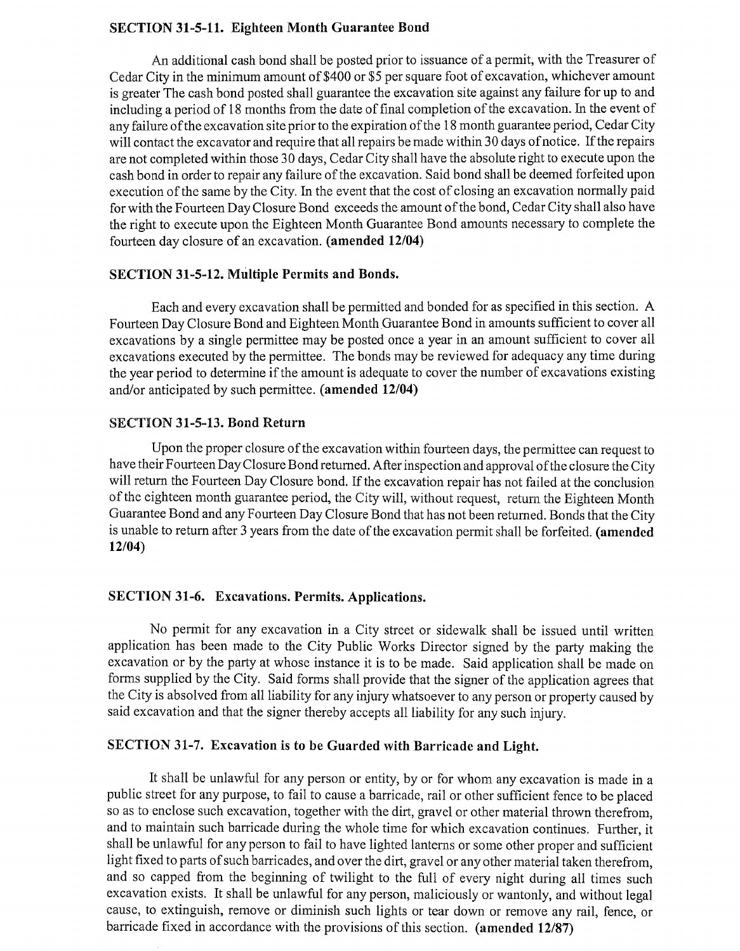#### **SECTION 31-5-11. Eighteen Month Guarantee Bond**

An additional cash bond shall be posted prior to issuance of a permit, with the Treasurer of Cedar City in the minimum amount of \$400 or \$5 per square foot of excavation, whichever amount is greater The cash bond posted shall guarantee the excavation site against any failure for up to and including a period of 18 months from the date of final completion of the excavation. In the event of any failure of the excavation site prior to the expiration of the 18 month guarantee period, Cedar City will contact the excavator and require that all repairs be made within 30 days of notice. If the repairs are not completed within those 30 days, Cedar City shall have the absolute right to execute upon the cash bond in order to repair any failure of the excavation. Said bond shall be deemed forfeited upon execution of the same by the City. In the event that the cost of closing an excavation normally paid for with the Fourteen Day Closure Bond exceeds the amount of the bond, Cedar City shall also have the right to execute upon the Eighteen Month Guarantee Bond amounts necessary to complete the fourteen day closure of an excavation. (amended 12/04)

#### **SECTION 31-5-12. Multiple Permits and Bonds.**

Each and every excavation shall be permitted and bonded for as specified in this section. A Fourteen Day Closure Bond and Eighteen Month Guarantee Bond in amounts sufficient to cover all excavations by a single permittee may be posted once a year in an amount sufficient to cover all excavations executed by the permittee. The bonds may be reviewed for adequacy any time during the year period to determine if the amount is adequate to cover the number of excavations existing and/or anticipated by such permittee. (amended 12/04)

#### **SECTION 31-5-13. Bond Return**

Upon the proper closure of the excavation within fourteen days, the permittee can request to have their Fourteen Day Closure Bond returned. After inspection and approval of the closure the City will return the Fourteen Day Closure bond. If the excavation repair has not failed at the conclusion of the eighteen month guarantee period, the City will, without request, return the Eighteen Month Guarantee Bond and any Fourteen Day Closure Bond that has not been returned. Bonds that the City is unable to return after 3 years from the date of the excavation permit shall be forfeited. (amended  $12/04$ 

#### **SECTION 31-6. Excavations. Permits. Applications.**

No permit for any excavation in a City street or sidewalk shall be issued until written application has been made to the City Public Works Director signed by the party making the excavation or by the party at whose instance it is to be made. Said application shall be made on forms supplied by the City. Said forms shall provide that the signer of the application agrees that the City is absolved from all liability for any injury whatsoever to any person or property caused by said excavation and that the signer thereby accepts all liability for any such injury.

# SECTION 31-7. Excavation is to be Guarded with Barricade and Light.

It shall be unlawful for any person or entity, by or for whom any excavation is made in a public street for any purpose, to fail to cause a barricade, rail or other sufficient fence to be placed so as to enclose such excavation, together with the dirt, gravel or other material thrown therefrom. and to maintain such barricade during the whole time for which excavation continues. Further, it shall be unlawful for any person to fail to have lighted lanterns or some other proper and sufficient light fixed to parts of such barricades, and over the dirt, gravel or any other material taken therefrom, and so capped from the beginning of twilight to the full of every night during all times such excavation exists. It shall be unlawful for any person, maliciously or wantonly, and without legal cause, to extinguish, remove or diminish such lights or tear down or remove any rail, fence, or barricade fixed in accordance with the provisions of this section. (amended 12/87)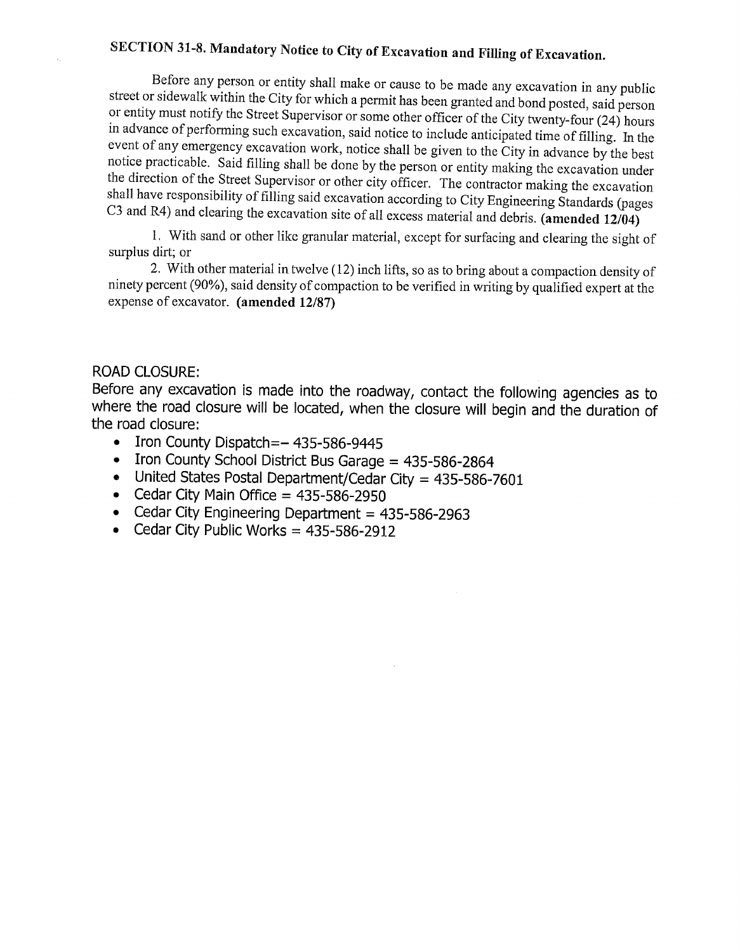# SECTION 31-8. Mandatory Notice to City of Excavation and Filling of Excavation.

Before any person or entity shall make or cause to be made any excavation in any public street or sidewalk within the City for which a permit has been granted and bond posted, said person or entity must notify the Street Supervisor or some other officer of the City twenty-four (24) hours in advance of performing such excavation, said notice to include anticipated time of filling. In the event of any emergency excavation work, notice shall be given to the City in advance by the best notice practicable. Said filling shall be done by the person or entity making the excavation under the direction of the Street Supervisor or other city officer. The contractor making the excavation shall have responsibility of filling said excavation according to City Engineering Standards (pages C3 and R4) and clearing the excavation site of all excess material and debris. (amended  $12/04$ )

1. With sand or other like granular material, except for surfacing and clearing the sight of surplus dirt; or

2. With other material in twelve (12) inch lifts, so as to bring about a compaction density of ninety percent (90%), said density of compaction to be verified in writing by qualified expert at the expense of excavator. (amended 12/87)

## **ROAD CLOSURE:**

Before any excavation is made into the roadway, contact the following agencies as to where the road closure will be located, when the closure will begin and the duration of the road closure:

- Iron County Dispatch=- 435-586-9445
- Iron County School District Bus Garage = 435-586-2864
- United States Postal Department/Cedar City = 435-586-7601
- Cedar City Main Office =  $435-586-2950$
- Cedar City Engineering Department = 435-586-2963
- Cedar City Public Works = 435-586-2912  $\bullet$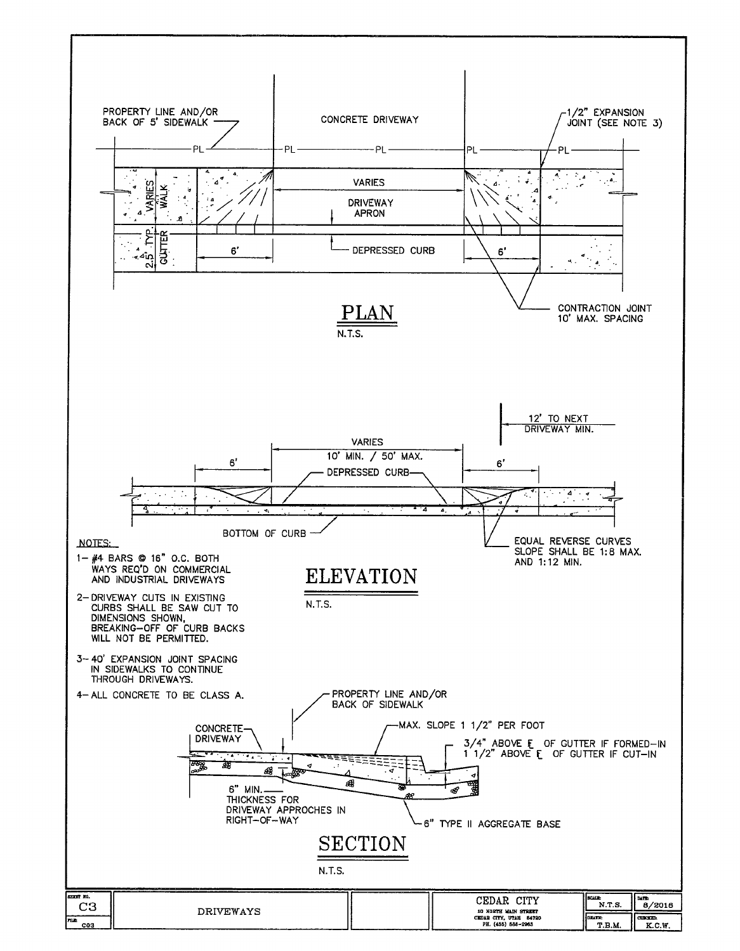